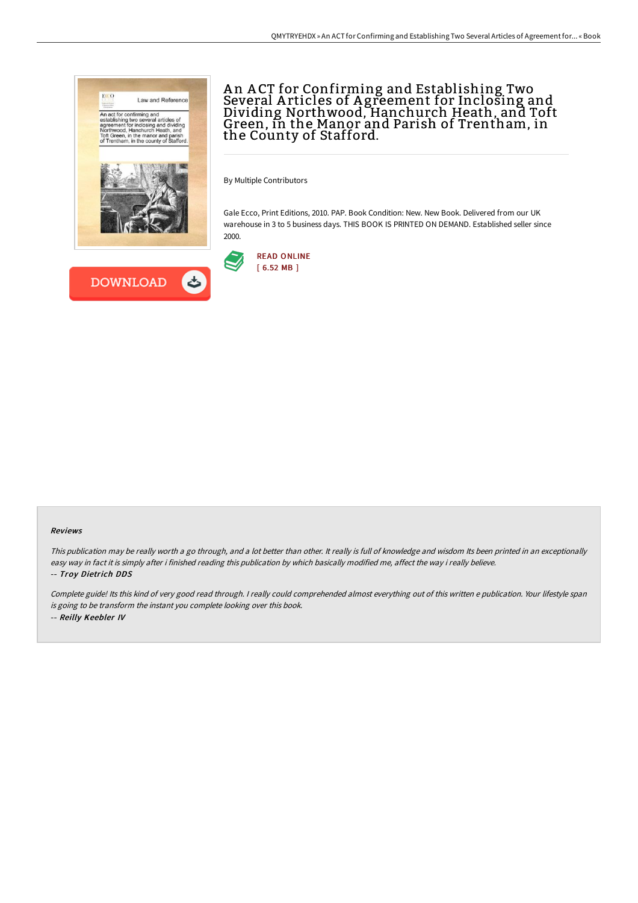

# A n A CT for Confirming and Establishing Two Several A rticles of A greement for Inclosing and Dividing Northwood, Hanchurch Heath, and Toft Green, in the Manor and Parish of Trentham, in the County of Stafford.

By Multiple Contributors

Gale Ecco, Print Editions, 2010. PAP. Book Condition: New. New Book. Delivered from our UK warehouse in 3 to 5 business days. THIS BOOK IS PRINTED ON DEMAND. Established seller since 2000.



#### Reviews

This publication may be really worth <sup>a</sup> go through, and <sup>a</sup> lot better than other. It really is full of knowledge and wisdom Its been printed in an exceptionally easy way in fact it is simply after i finished reading this publication by which basically modified me, affect the way i really believe. -- Troy Dietrich DDS

Complete guide! Its this kind of very good read through. <sup>I</sup> really could comprehended almost everything out of this written <sup>e</sup> publication. Your lifestyle span is going to be transform the instant you complete looking over this book. -- Reilly Keebler IV